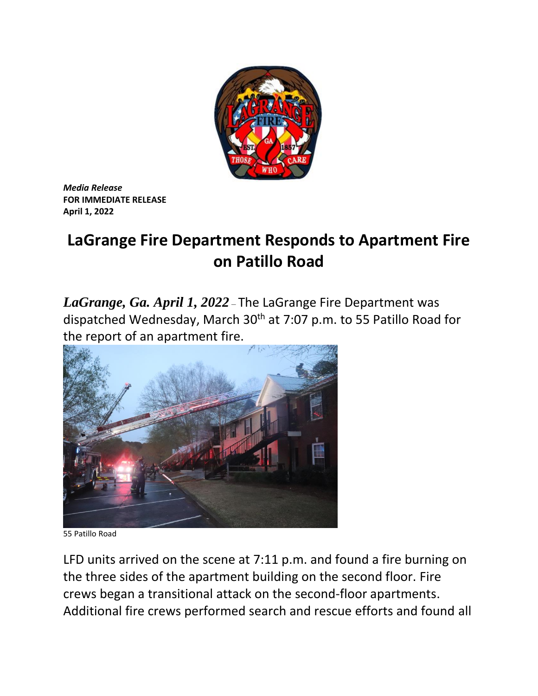

*Media Release* **FOR IMMEDIATE RELEASE April 1, 2022**

## **LaGrange Fire Department Responds to Apartment Fire on Patillo Road**

*LaGrange, Ga. April 1, 2022* – The LaGrange Fire Department was dispatched Wednesday, March 30th at 7:07 p.m. to 55 Patillo Road for the report of an apartment fire.



55 Patillo Road

LFD units arrived on the scene at 7:11 p.m. and found a fire burning on the three sides of the apartment building on the second floor. Fire crews began a transitional attack on the second-floor apartments. Additional fire crews performed search and rescue efforts and found all